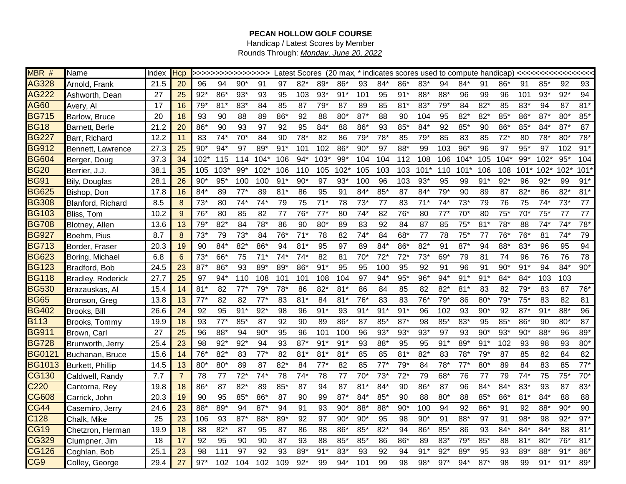## **PECAN HOLLOW GOLF COURSE**

Handicap / Latest Scores by Member Rounds Through: *Monday, June 20, 2022*

| MBR #         | Name                     | Index | Hcp             |        | >>>>>>>>>>>>>>>>>>> |        |        |       |              |        |              |       |       |       |        |       |        |              |        |        |              |              |       |
|---------------|--------------------------|-------|-----------------|--------|---------------------|--------|--------|-------|--------------|--------|--------------|-------|-------|-------|--------|-------|--------|--------------|--------|--------|--------------|--------------|-------|
| <b>AG328</b>  | Arnold, Frank            | 21.5  | 20              | 96     | 94                  | $90*$  | 91     | 97    | $82*$        | $89*$  | $86^{\circ}$ | 93    | $84*$ | 86'   | $83*$  | 94    | $84*$  | 91           | 86*    | 91     | $85^{\circ}$ | 92           | 93    |
| <b>AG222</b>  | Ashworth, Dean           | 27    | 25              | $92*$  | 86*                 | $93*$  | 93     | 95    | 103          | $93*$  | $91*$        | 101   | 95    | $91*$ | 88*    | 88*   | 96     | 99           | 96     | 101    | $93*$        | $92*$        | 94    |
| <b>AG60</b>   | Avery, Al                | 17    | 16              | $79*$  | 81'                 | 83*    | 84     | 85    | 87           | $79*$  | 87           | 89    | 85    | $81*$ | 83*    | $79*$ | 84     | $82*$        | 85     | 83*    | 94           | 87           | $81*$ |
| <b>BG715</b>  | Barlow, Bruce            | 20    | 18              | 93     | 90                  | 88     | 89     | $86*$ | 92           | 88     | $80*$        | $87*$ | 88    | 90    | 104    | 95    | $82*$  | $82*$        | $85*$  | 86*    | $87*$        | $80*$        | $85*$ |
| <b>BG18</b>   | Barnett, Berle           | 21.2  | 20              | 86*    | 90                  | 93     | 97     | 92    | 95           | 84*    | 88           | 86'   | 93    | $85*$ | 84*    | 92    | $85*$  | 90           | 86*    | 85*    | $84*$        | $87*$        | 87    |
| <b>BG227</b>  | Barr, Richard            | 12.2  | 11              | 83     | $74*$               | $70^*$ | 84     | 90    | $78^{\circ}$ | 82     | 86           | 79*   | $78*$ | 85    | $79*$  | 85    | 83     | 85           | $72*$  | 80     | $78*$        | $80*$        | $78*$ |
| <b>BG912</b>  | Bennett, Lawrence        | 27.3  | 25              | $90*$  | $94*$               | 97     | 89*    | $91*$ | 101          | 102    | $86*$        | $90*$ | 97    | 88*   | 99     | 103   | $96*$  | 96           | 97     | $95*$  | 97           | 102          | $91*$ |
| <b>BG604</b>  | Berger, Doug             | 37.3  | 34              | $102*$ | 115                 | 114    | $104*$ | 106   | $94*$        | $103*$ | $99*$        | 104   | 104   | 112   | 108    | 106   | $104*$ | 105          | $104*$ | $99*$  | $102*$       | $95*$        | 104   |
| <b>BG20</b>   | Berrier, J.J.            | 38.1  | 35              | 105    | 103'                | $99*$  | $102*$ | 106   | 110          | 105    | $102*$       | 105   | 103   | 103   | $101*$ | 110   | $101*$ | 106          | 108    | $101*$ | $102*$       | $102*$       | 101'  |
| <b>BG91</b>   | Bily, Douglas            | 28.1  | 26              | 90*    | $95*$               | 100    | 100    | $91*$ | $90*$        | 97     | $93*$        | 100   | 96    | 103   | $93*$  | 95    | 99     | $91*$        | $92*$  | 96     | $92*$        | 99           | $91*$ |
| <b>BG625</b>  | Bishop, Don              | 17.8  | 16              | 84*    | 89                  | $77*$  | 89     | $81*$ | 86           | 95     | 91           | 84*   | $85*$ | 87    | 84*    | $79*$ | 90     | 89           | 87     | $82*$  | 86           | $82*$        | $81*$ |
| <b>BG308</b>  | Blanford, Richard        | 8.5   | 8               | $73*$  | 80                  | $74*$  | 74*    | 79    | 75           | $71*$  | 78           | $73*$ | 77    | 83    | $71*$  | $74*$ | $73*$  | 79           | 76     | 75     | $74*$        | $73*$        | 77    |
| <b>BG103</b>  | Bliss, Tom               | 10.2  | 9               | 76*    | 80                  | 85     | 82     | 77    | $76*$        | $77*$  | 80           | 74*   | 82    | $76*$ | 80     | $77*$ | $70*$  | 80           | $75*$  | $70*$  | $75*$        | 77           | 77    |
| <b>BG708</b>  | Blotney, Allen           | 13.6  | 13              | $79*$  | $82*$               | 84     | $78*$  | 86    | 90           | $80*$  | 89           | 83    | 92    | 84    | 87     | 85    | $75*$  | $81*$        | $78*$  | 88     | $74*$        | $74^{\circ}$ | $78*$ |
| <b>BG927</b>  | Boehm, Pius              | 8.7   | 8               | $73*$  | 79                  | $73*$  | 84     | $76*$ | 71           | 78     | 82           | 74*   | 84    | 68*   | 77     | 78    | $75*$  | 77           | $76*$  | $76*$  | 81           | $74^{\circ}$ | 79    |
| <b>BG713</b>  | Border, Fraser           | 20.3  | 19              | 90     | $84*$               | $82*$  | 86*    | 94    | 81           | 95     | 97           | 89    | $84*$ | 86*   | $82*$  | 91    | $87*$  | 94           | 88*    | $83*$  | 96           | 95           | 94    |
| <b>BG623</b>  | Boring, Michael          | 6.8   | $6\phantom{1}6$ | $73*$  | 66*                 | 75     | $71*$  | $74*$ | $74*$        | 82     | 81           | $70*$ | $72*$ | $72*$ | $73*$  | 69*   | 79     | 81           | 74     | 96     | 76           | 76           | 78    |
| <b>BG123</b>  | Bradford, Bob            | 24.5  | 23              | $87*$  | 86*                 | 93     | 89*    | 89*   | 86*          | $91*$  | 95           | 95    | 100   | 95    | 92     | 91    | 96     | 91           | $90*$  | $91*$  | 94           | $84*$        | $90*$ |
| <b>BG118</b>  | <b>Bradley, Roderick</b> | 27.7  | 25              | 97     | $94*$               | 110    | 108    | 101   | 101          | 108    | 104          | 97    | 94*   | $95*$ | 96*    | $94*$ | $91*$  | $91*$        | $84*$  | $84*$  | 103          | 103          |       |
| <b>BG530</b>  | Brazauskas, Al           | 15.4  | 14              | 81     | 82                  | $77*$  | $79*$  | 78*   | 86           | $82*$  | $81*$        | 86    | 84    | 85    | 82     | $82*$ | $81*$  | 83           | 82     | $79*$  | 83           | 87           | $76*$ |
| <b>BG65</b>   | Bronson, Greg            | 13.8  | 13              | $77*$  | 82                  | 82     | $77*$  | 83    | $81^\circ$   | 84     | $81*$        | 76'   | 83    | 83    | 76*    | $79*$ | 86     | $80*$        | 79*    | $75*$  | 83           | 82           | 81    |
| <b>BG402</b>  | Brooks, Bill             | 26.6  | 24              | 92     | 95                  | $91*$  | $92*$  | 98    | 96           | $91*$  | 93           | $91*$ | $91*$ | $91*$ | 96     | 102   | 93     | $90*$        | 92     | $87*$  | $91*$        | 88*          | 96    |
| <b>B113</b>   | Brooks, Tommy            | 19.9  | 18              | 93     | $77*$               | $85*$  | 87     | 92    | 90           | 89     | 86*          | 87    | 85*   | $87*$ | 98     | $85*$ | $83*$  | 95           | $85*$  | 86*    | 90           | $80*$        | 87    |
| <b>BG911</b>  | Brown, Carl              | 27    | 25              | 96     | 88*                 | 94     | $90*$  | 95    | 96           | 101    | 100          | 96    | $93*$ | $93*$ | $93*$  | 97    | 93     | $90*$        | $93*$  | $90*$  | 88*          | 96           | 89*   |
| <b>BG728</b>  | Brunworth, Jerry         | 25.4  | 23              | 98     | $92*$               | $92*$  | 94     | 93    | $87*$        | 91'    | $91*$        | 93    | 88*   | 95    | 95     | $91*$ | 89*    | $91^{\circ}$ | 102    | 93     | 98           | 93           | $80*$ |
| <b>BG0121</b> | Buchanan, Bruce          | 15.6  | 14              | $76*$  | $82*$               | 83     | $77*$  | 82    | $81*$        | $81*$  | $81*$        | 85    | 85    | $81*$ | $82*$  | 83    | $78*$  | $79*$        | 87     | 85     | 82           | 84           | 82    |
| <b>BG1013</b> | Burkett, Phillip         | 14.5  | 13              | $80*$  | $80*$               | 89     | 87     | $82*$ | 84           | $77*$  | 82           | 85    | $77*$ | $79*$ | 84     | $78*$ | $77*$  | $80*$        | 89     | 84     | 83           | 85           | $77*$ |
| <b>CG130</b>  | Caldwell, Randy          | 7.7   | $\overline{7}$  | 78     | 77                  | $72*$  | $74*$  | 78    | 74'          | 78     | 77           | $70*$ | $73*$ | $72*$ | 79     | $68*$ | 76     | 77           | 79     | $74*$  | 75           | $75^{\circ}$ | $70*$ |
| C220          | Cantorna, Rey            | 19.8  | 18              | 86*    | 87                  | $82*$  | 89     | $85*$ | 87           | 94     | 87           | $81*$ | $84*$ | 90    | 86*    | 87    | 96     | $84*$        | $84*$  | 83*    | 93           | 87           | 83*   |
| <b>CG608</b>  | Carrick, John            | 20.3  | 19              | 90     | 95                  | $85*$  | $86*$  | 87    | 90           | 99     | $87*$        | $84*$ | $85*$ | 90    | 88     | $80*$ | 88     | 85'          | 86*    | $81*$  | 84*          | 88           | 88    |
| <b>CG44</b>   | Casemiro, Jerry          | 24.6  | 23              | 88*    | 89*                 | 94     | $87*$  | 94    | 91           | 93     | $90*$        | 88'   | 88*   | $90*$ | 100    | 94    | 92     | 86*          | 91     | 92     | 88*          | $90*$        | 90    |
| C128          | Chalk, Mike              | 25    | 23              | 106    | 93                  | $87*$  | $88*$  | 89*   | 92           | 97     | $90*$        | $90*$ | 95    | 98    | $90*$  | 91    | 88*    | 97           | 91     | $98*$  | 98           | $92*$        | $97*$ |
| <b>CG19</b>   | Chetzron, Herman         | 19.9  | 18              | 88     | $82*$               | 87     | 95     | 87    | 86           | 88     | 86*          | 85'   | $82*$ | 94    | 86*    | 85*   | 86     | 93           | 84*    | 84*    | $84*$        | 88           | $81*$ |
| <b>CG329</b>  | Clumpner, Jim            | 18    | 17              | 92     | 95                  | 90     | 90     | 87    | 93           | 88     | 85*          | 85'   | 86    | 86*   | 89     | $83*$ | $79*$  | $85*$        | 88     | $81*$  | $80*$        | $76*$        | $81*$ |
| <b>CG126</b>  | Coghlan, Bob             | 25.1  | 23              | 98     | 111                 | 97     | 92     | 93    | $89^{\circ}$ | 91     | 83*          | 93    | 92    | 94    | $91*$  | $92*$ | 89*    | 95           | 93     | 89*    | 88*          | 91           | 86*   |
| CG9           | Colley, George           | 29.4  | 27              | $97*$  | 102                 | 104    | 102    | 109   | $92*$        | 99     | $94*$        | 101   | 99    | 98    | $98*$  | $97*$ | $94*$  | $87*$        | 98     | 99     | $91*$        | $91*$        | 89*   |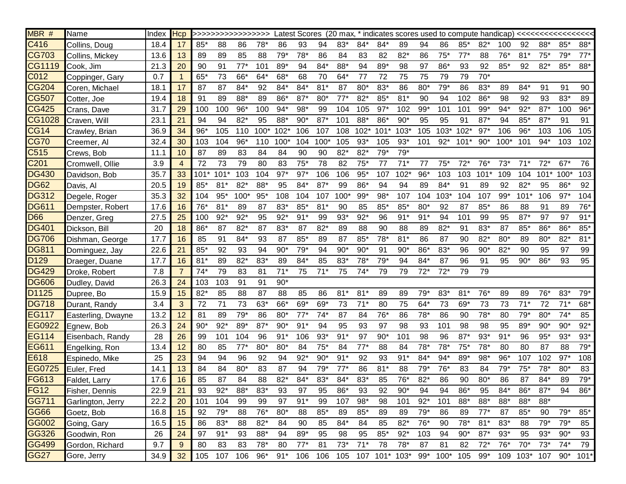| MBR #            | Name               | Index | Hcp            |        | >>>>>>>>>>>>>>>>>>> |        |         |        |       |        |        |              |        |                           |       |              |        |        |        |          |        |        |        |
|------------------|--------------------|-------|----------------|--------|---------------------|--------|---------|--------|-------|--------|--------|--------------|--------|---------------------------|-------|--------------|--------|--------|--------|----------|--------|--------|--------|
| C416             | Collins, Doug      | 18.4  | 17             | $85*$  | 88                  | 86     | $78*$   | 86     | 93    | 94     | 83*    | $84*$        | $84*$  | 89                        | 94    | 86           | $85*$  | $82*$  | 100    | 92       | 88*    | $85*$  | 88*    |
| CG703            | Collins, Mickey    | 13.6  | 13             | 89     | 89                  | 85     | 88      | $79*$  | $78*$ | 86     | 84     | 83           | 82     | $82*$                     | 86    | $75*$        | $77*$  | 88     | $76*$  | $81*$    | $75*$  | $79*$  | $77*$  |
| CG1119           | Cook, Jim          | 21.3  | 20             | 90     | 91                  | $77*$  | 101     | 89*    | 94    | $84*$  | 88*    | 94           | 89*    | 98                        | 97    | $86*$        | 93     | 92     | $85*$  | 92       | $82*$  | $85*$  | 88*    |
| C012             | Coppinger, Gary    | 0.7   |                | 65*    | 73                  | 66*    | $64*$   | 68*    | 68    | 70     | 64*    | 77           | 72     | 75                        | 75    | 79           | 79     | $70*$  |        |          |        |        |        |
| CG204            | Coren, Michael     | 18.1  | 17             | 87     | 87                  | 84*    | 92      | $84*$  | $84*$ | $81*$  | 87     | $80*$        | $83*$  | 86                        | $80*$ | $79*$        | 86     | 83*    | 89     | $84*$    | 91     | 91     | 90     |
| CG507            | Cotter, Joe        | 19.4  | 18             | 91     | 89                  | 88*    | 89      | 86*    | $87*$ | $80*$  | $77*$  | $82*$        | $85*$  | $81*$                     | 90    | 94           | 102    | $86*$  | 98     | 92       | 93     | $83*$  | 89     |
| CG425            | Crans, Dave        | 31.7  | 29             | 100    | 100                 | $96*$  | 100     | $94*$  | $98*$ | 99     | 104    | 105          | $97*$  | 102                       | $99*$ | 101          | 101    | $99*$  | $94*$  | $92*$    | $87*$  | 100    | $96*$  |
| CG1028           | Craven, Will       | 23.1  | 21             | 94     | 94                  | $82*$  | 95      | 88*    | $90*$ | $87*$  | 101    | 88*          | 86*    | $90*$                     | 95    | 95           | 91     | $87*$  | 94     | $85*$    | $87*$  | 91     | 91     |
| CG14             | Crawley, Brian     | 36.9  | 34             | $96*$  | 105                 | 110    | $100*$  | $102*$ | 106   | 107    | 108    | $102*$       | $101*$ | $103*$                    | 105   | $103*$       | $102*$ | $97*$  | 106    | $96*$    | 103    | 106    | 105    |
| CG70             | Creemer, Al        | 32.4  | 30             | 103    | 104                 | $96*$  | 110     | $100*$ | 104   | $100*$ | 105    | $93*$        | 105    | $93*$                     | 101   | $92*$        | $101*$ | $90*$  | $100*$ | 101      | $94*$  | 103    | 102    |
| C515             | Crews, Bob         | 11.1  | 10             | 87     | 89                  | 83     | 84      | 84     | 90    | 90     | $82*$  | $82*$        | $79*$  | $79*$                     |       |              |        |        |        |          |        |        |        |
| C <sub>201</sub> | Cromwell, Ollie    | 3.9   | $\overline{4}$ | 72     | 73                  | 79     | 80      | 83     | $75*$ | 78     | 82     | $75*$        | 77     | $71*$                     | 77    | $75*$        | $72*$  | $76*$  | $73*$  | $71*$    | $72*$  | $67*$  | 76     |
| <b>DG430</b>     | Davidson, Bob      | 35.7  | 33             | $101*$ | $101*$              | 103    | 104     | $97*$  | $97*$ | 106    | 106    | $95*$        | 107    | $102*$                    | $96*$ | 103          | 103    | $101*$ | 109    | 104      | $101*$ | $100*$ | 103    |
| <b>DG62</b>      | Davis, Al          | 20.5  | 19             | $85*$  | $81*$               | $82*$  | 88*     | 95     | $84*$ | $87*$  | 99     | $86*$        | 94     | 94                        | 89    | $84*$        | 91     | 89     | 92     | $82*$    | 95     | $86*$  | 92     |
| <b>DG312</b>     | Degele, Roger      | 35.3  | 32             | 104    | $95*$               | $100*$ | $95*$   | 108    | 104   | 107    | $100*$ | $99*$        | $98*$  | 107                       | 104   | $103*$       | 104    | 107    | $99*$  | $101*$   | 106    | $97*$  | 104    |
| <b>DG611</b>     | Dempster, Robert   | 17.6  | 16             | $76*$  | $81*$               | 89     | 87      | $83*$  | $85*$ | $81*$  | 90     | 85           | $85*$  | $85*$                     | $80*$ | 92           | 87     | 85'    | 86     | 88       | 91     | 89     | $76*$  |
| D66              | Denzer, Greg       | 27.5  | 25             | 100    | $92*$               | $92*$  | 95      | $92*$  | $91*$ | 99     | $93*$  | $92*$        | 96     | $91*$                     | $91*$ | 94           | 101    | 99     | 95     | $87*$    | 97     | 97     | $91*$  |
| <b>DG401</b>     | Dickson, Bill      | 20    | 18             | 86*    | 87                  | $82*$  | 87      | 83*    | 87    | $82*$  | 89     | 88           | 90     | 88                        | 89    | $82*$        | 91     | 83*    | 87     | $85*$    | 86*    | 86*    | $85*$  |
| <b>DG706</b>     | Dishman, George    | 17.7  | 16             | 85     | 91                  | 84*    | 93      | 87     | $85*$ | 89     | 87     | 85'          | $78*$  | $81*$                     | 86    | 87           | 90     | $82*$  | $80*$  | 89       | $80*$  | $82*$  | $81*$  |
| <b>DG811</b>     | Dominguez, Jay     | 22.6  | 21             | $85*$  | 92                  | 93     | 94      | $90*$  | $79*$ | 94     | $90*$  | $90*$        | 91     | $90*$                     | 86*   | 83*          | 96     | $90*$  | $82*$  | 90       | 95     | 97     | 99     |
| D129             | Draeger, Duane     | 17.7  | 16             | $81*$  | 89                  | $82*$  | 83*     | 89     | $84*$ | 85     | 83*    | $78^{\circ}$ | $79*$  | 94                        | 84'   | 87           | 96     | 91     | 95     | $90*$    | 86*    | 93     | 95     |
| <b>DG429</b>     | Droke, Robert      | 7.8   | $\overline{7}$ | $74*$  | 79                  | 83     | 81      | $71*$  | 75    | $71*$  | 75     | $74*$        | 79     | 79                        | $72*$ | $72*$        | 79     | 79     |        |          |        |        |        |
| <b>DG606</b>     | Dudley, David      | 26.3  | 24             | 103    | 103                 | 91     | 91      | $90*$  |       |        |        |              |        |                           |       |              |        |        |        |          |        |        |        |
| D1125            | Dupree, Bo         | 15.9  | 15             | $82*$  | 85                  | 88     | 87      | 88     | 85    | 86     | $81*$  | 81'          | 89     | 89                        | $79*$ | 83*          | $81*$  | 76*    | 89     | 89       | $76*$  | $83*$  | $79*$  |
| <b>DG718</b>     | Durant, Randy      | 3.4   | 3              | 72     | 71                  | 73     | 63*     | 66*    | 69*   | 69*    | 73     | $71*$        | 80     | 75                        | $64*$ | 73           | 69*    | 73     | 73     | $71*$    | 72     | 71'    | 68*    |
| <b>EG117</b>     | Easterling, Dwayne | 13.2  | 12             | 81     | 89                  | $79*$  | 86      | $80*$  | $77*$ | $74*$  | 87     | 84           | $76*$  | 86                        | $78*$ | 86           | 90     | $78*$  | 80     | $79*$    | 80*    | $74*$  | 85     |
| EG0922           | Egnew, Bob         | 26.3  | 24             | $90*$  | $92*$               | 89*    | $87*$   | $90*$  | $91*$ | 94     | 95     | 93           | 97     | 98                        | 93    | 101          | 98     | 98     | 95     | 89*      | $90*$  | $90*$  | $92*$  |
| <b>EG114</b>     | Eisenbach, Randy   | 28    | 26             | 99     | 101                 | 104    | 96      | $91*$  | 106   | $93*$  | $91*$  | 97           | $90*$  | 101                       | 98    | 96           | $87*$  | $93*$  | $91*$  | 96       | $95*$  | $93*$  | $93*$  |
| EG611            | Engelking, Ron     | 13.4  | 12             | 80     | 85                  | $77*$  | $80*$   | $80*$  | 84    | $75*$  | 84     | $77*$        | 88     | 84                        | $78*$ | $78*$        | $75*$  | $78*$  | 80     | 80       | 87     | 88     | $79*$  |
| E618             | Espinedo, Mike     | 25    | 23             | 94     | 94                  | 96     | 92      | 94     | $92*$ | $90*$  | $91*$  | 92           | 93     | $91*$                     | $84*$ | $94*$        | 89*    | $98*$  | $96*$  | 107      | 102    | $97*$  | 108    |
| EG0725           | Euler, Fred        | 14.1  | 13             | 84     | 84                  | $80*$  | 83      | 87     | 94    | $79*$  | $77*$  | 86           | $81*$  | 88                        | $79*$ | 76*          | 83     | 84     | $79*$  | $75*$    | $78*$  | $80*$  | 83     |
| <b>FG613</b>     | Faldet, Larry      | 17.6  | 16             | 85     | 87                  | 84     | 88      | $82*$  | $84*$ | $83*$  | $84*$  | $83*$        | 85     | $76*$                     | $82*$ | 86           | 90     | $80*$  | 86     | 87       | 84*    | 89     | 79*    |
| <b>FG12</b>      | Fisher, Dennis     | 22.9  | 21             | 93     | $92*$               | 88*    | 83*     | 93     | 97    | 95     | 86*    | 93           | 92     | $90*$                     | 94    | 94           | $86*$  | 95     | $84*$  | 86*      | $87*$  | 94     | 86*    |
| GG711            | Garlington, Jerry  | 22.2  | 20             | 101    | 104                 | 99     | 99      | 97     | $91*$ | 99     | 107    | $98*$        | 98     | 101                       | $92*$ | 101          | 88*    | 88*    | 88*    | 88*      | 88*    |        |        |
| <b>GG66</b>      | Goetz, Bob         | 16.8  | 15             | 92     | $79*$               | 88     | $76*$   | $80*$  | 88    | $85*$  | 89     | $85*$        | 89     | 89                        | $79*$ | 86           | 89     | $77*$  | 87     | $85*$    | 90     | $79*$  | $85*$  |
| GG002            | Going, Gary        | 16.5  | 15             | 86     | $83*$               | 88     | $82*$   | 84     | 90    | 85     | 84*    | 84           | 85     | $82*$                     | $76*$ | 90           | $78*$  | $81*$  | $83*$  | 88       | $79*$  | $79*$  | 85     |
| GG326            | Goodwin, Ron       | 26    | 24             | 97     | $91*$               | 93     | 88*     | 94     | 89*   | 95     | 98     | 95           | $85*$  | $92*$                     | 103   | 94           | $90*$  | $87*$  | $93*$  | 95       | $93*$  | $90*$  | 93     |
| GG499            | Gordon, Richard    | 9.7   | 9              | 80     | 83                  | 83     | $78*$   | 80     | $77*$ | 81     | $73*$  | $71*$        | 78     | $78*$                     | 87    | 81           | 82     | $72*$  | $76*$  | $70*$    | $73*$  | $74*$  | 79     |
| <b>GG27</b>      | Gore, Jerry        | 34.9  | 32             | 105    | 107                 |        | 106 96* | $91*$  |       |        |        |              |        | 106 106 105 107 101* 103* |       | 99* 100* 105 |        | $99*$  |        | 109 103* | 107    | $90^*$ | $101*$ |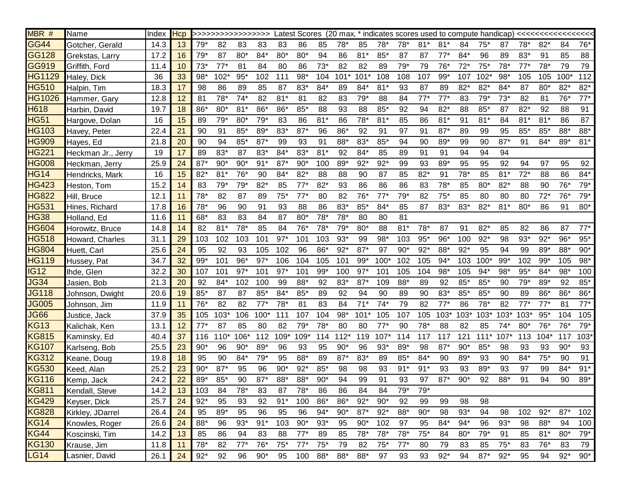| MBR #            | Name               | Index | <b>Hcp</b> |       | >>>>>>>>>>>>>>>>>> |        |        |        | <b>Latest Scores</b> |         |        |        |        |       |       |        |        |        |        |        |        |        |        |
|------------------|--------------------|-------|------------|-------|--------------------|--------|--------|--------|----------------------|---------|--------|--------|--------|-------|-------|--------|--------|--------|--------|--------|--------|--------|--------|
| GG44             | Gotcher, Gerald    | 14.3  | 13         | $79*$ | 82                 | 83     | 83     | 83     | 86                   | 85      | $78*$  | 85     | $78*$  | $78*$ | $81*$ | $81*$  | 84     | $75*$  | 87     | $78*$  | $82*$  | 84     | $76*$  |
| GG128            | Grekstas, Larry    | 17.2  | 16         | $79*$ | 87                 | $80*$  | $84*$  | $80*$  | $80*$                | 94      | 86     | $81*$  | $85*$  | 87    | 87    | $77*$  | $84*$  | 96     | 89     | 83*    | 91     | 85     | 88     |
| GG919            | Griffith, Ford     | 11.4  | 10         | $73*$ | $77*$              | 81     | 84     | 80     | 86                   | $73*$   | 82     | 82     | 89     | $79*$ | 79    | $76*$  | $72*$  | $75*$  | $78*$  | $77*$  | $78*$  | 79     | 79     |
| HG1129           | Haley, Dick        | 36    | 33         | $98*$ | $102*$             | $95*$  | 102    | 111    | $98*$                | 104     | $101*$ | $101*$ | 108    | 108   | 107   | $99*$  | 107    | $102*$ | $98*$  | 105    | 105    | $100*$ | 112    |
| <b>HG510</b>     | Halpin, Tim        | 18.3  | 17         | 98    | 86                 | 89     | 85     | 87     | 83*                  | $84*$   | 89     | $84*$  | $81*$  | 93    | 87    | 89     | $82*$  | $82*$  | $84*$  | 87     | $80*$  | $82*$  | $82*$  |
| HG1026           | Hammer, Gary       | 12.8  | 12         | 81    | $78*$              | $74*$  | 82     | $81*$  | 81                   | 82      | 83     | 79'    | 88     | 84    | 77'   | 77'    | 83     | 79*    | $73*$  | 82     | 81     | $76*$  | $77*$  |
| H618             | Harbin, David      | 19.7  | 18         | 86*   | $80*$              | $81*$  | $86*$  | $86*$  | $85*$                | 88      | 93     | 88     | $85*$  | 92    | 94    | $82*$  | 88     | $85*$  | 87     | $82*$  | 92     | 88     | 91     |
| <b>HG51</b>      | Hargove, Dolan     | 16    | 15         | 89    | $79*$              | $80*$  | $79*$  | 83     | 86                   | $81*$   | 86     | $78*$  | $81*$  | 85    | 86    | $81*$  | 91     | $81*$  | 84     | $81*$  | $81*$  | 86     | 87     |
| HG103            | Havey, Peter       | 22.4  | 21         | 90    | 91                 | $85*$  | 89*    | $83*$  | $87*$                | 96      | 86*    | 92     | 91     | 97    | 91    | $87*$  | 89     | 99     | 95     | $85*$  | $85*$  | 88*    | 88*    |
| HG909            | Hayes, Ed          | 21.8  | 20         | 90    | 94                 | $85*$  | $87*$  | 99     | 93                   | 91      | 88*    | $83*$  | $85*$  | 94    | 90    | 89*    | 99     | 90     | $87*$  | 91     | $84*$  | 89*    | $81*$  |
| <b>HG221</b>     | Heckman Jr., Jerry | 19    | 17         | 89    | 83*                | 87     | $83*$  | 84*    | 83*                  | $81*$   | 92     | $84*$  | 85     | 89    | 91    | 91     | 94     | 94     | 94     |        |        |        |        |
| <b>HG008</b>     | Heckman, Jerry     | 25.9  | 24         | $87*$ | $90*$              | $90*$  | $91*$  | $87*$  | $90*$                | 100     | 89*    | $92*$  | $92*$  | 99    | 93    | 89*    | 95     | 95     | 92     | 94     | 97     | 95     | 92     |
| <b>HG14</b>      | Hendricks, Mark    | 16    | 15         | $82*$ | $81*$              | $76*$  | 90     | $84*$  | $82*$                | 88      | 88     | 90     | 87     | 85    | $82*$ | 91     | 78*    | 85     | $81*$  | $72*$  | 88     | 86     | $84*$  |
| <b>HG423</b>     | Heston, Tom        | 15.2  | 14         | 83    | $79*$              | $79*$  | $82*$  | 85     | $77*$                | $82*$   | 93     | 86     | 86     | 86    | 83    | $78*$  | 85     | $80*$  | $82*$  | 88     | 90     | $76*$  | $79*$  |
| <b>HG822</b>     | Hill, Bruce        | 12.1  | 11         | $78*$ | 82                 | 87     | 89     | $75*$  | $77*$                | 80      | 82     | $76*$  | $77*$  | $79*$ | 82    | $75*$  | 85     | 80     | 80     | 80     | $72*$  | $76*$  | $79*$  |
| <b>HG531</b>     | Hines, Richard     | 17.8  | 16         | $78*$ | 96                 | 90     | 91     | 93     | 88                   | 86      | 83*    | 85'    | 84*    | 85    | 87    | $83*$  | $83*$  | $82*$  | $81*$  | $80*$  | 86     | 91     | $80*$  |
| <b>HG38</b>      | Holland, Ed        | 11.6  | 11         | 68*   | 83                 | 83     | 84     | 87     | $80*$                | $78*$   | $78*$  | 80     | 80     | 81    |       |        |        |        |        |        |        |        |        |
| HG604            | Horowitz, Bruce    | 14.8  | 14         | 82    | $81*$              | $78*$  | 85     | 84     | $76*$                | $78*$   | $79*$  | $80*$  | 88     | $81*$ | $78*$ | 87     | 91     | $82*$  | 85     | 82     | 86     | 87     | $77*$  |
| HG518            | Howard, Charles    | 31.1  | 29         | 103   | 102                | 103    | 101    | $97*$  | 101                  | 103     | $93*$  | 99     | $98*$  | 103   | $95*$ | $96*$  | 100    | $92*$  | 98     | $93*$  | $92*$  | $96*$  | $95*$  |
| <b>HG804</b>     | Huett, Carl        | 25.6  | 24         | 95    | 92                 | 93     | 105    | 102    | 96                   | 86*     | $92*$  | $87*$  | 97     | $90*$ | $92*$ | 88*    | $92*$  | 95     | 94     | 99     | 89*    | 88*    | $90*$  |
| HG119            | Hussey, Pat        | 34.7  | 32         | $99*$ | 101                | $96*$  | $97*$  | 106    | 104                  | 105     | 101    | $99*$  | $100*$ | 102   | 105   | $94*$  | 103    | 100*   | $99*$  | 102    | $99*$  | 105    | $98*$  |
| IG <sub>12</sub> | Ihde, Glen         | 32.2  | 30         | 107   | 101                | $97*$  | 101    | $97*$  | 101                  | $99*$   | 100    | $97*$  | 101    | 105   | 104   | $98*$  | 105    | 94*    | $98*$  | $95*$  | 84*    | $98*$  | 100    |
| JG34             | Jasien, Bob        | 21.3  | 20         | 92    | $84*$              | 102    | 100    | 99     | 88*                  | 92      | 83*    | 87'    | 109    | 88*   | 89    | 92     | $85*$  | $85*$  | 90     | $79*$  | 89*    | 92     | $85*$  |
| JG118            | Johnson, Dwight    | 20.6  | 19         | $85*$ | 87                 | 87     | $85*$  | 84*    | $85*$                | 89      | 92     | 94     | 90     | 89    | 90    | $83*$  | $85*$  | $85*$  | 90     | 89     | 86*    | 86*    | $86*$  |
| <b>JG005</b>     | Johnson, Jim       | 11.9  | 11         | $76*$ | 82                 | 82     | $77*$  | $78*$  | 81                   | 83      | 84     | $71*$  | $74*$  | 79    | 82    | $77*$  | 86     | $78*$  | 82     | $77*$  | $77*$  | 81     | $77*$  |
| JG66             | Justice, Jack      | 37.9  | 35         | 105   | 103'               | 106    | $100*$ | 111    | 107                  | 104     | 98*    | $101*$ | 105    | 107   | 105   | $103*$ | $103*$ | 103*   | $103*$ | $103*$ | $95*$  | 104    | 105    |
| <b>KG13</b>      | Kalichak, Ken      | 13.1  | 12         | $77*$ | 87                 | 85     | 80     | 82     | $79*$                | $78*$   | 80     | 80     | $77*$  | 90    | 78*   | 88     | 82     | 85     | $74*$  | $80*$  | 76*    | 76*    | $79*$  |
| <b>KG815</b>     | Kaminsky, Ed       | 40.4  | 37         | 116   | $110*$             | $106*$ | 112    | $109*$ | $109*$               | 114     | $112*$ | 119    | $107*$ | 114   | 117   | 117    | 121    | $111*$ | $107*$ | 113    | $104*$ | 117    | $103*$ |
| KG107            | Karlseng, Bob      | 25.5  | 23         | $90*$ | 96                 | $90*$  | 89*    | 96     | 93                   | 95      | $90*$  | 96     | $93*$  | 89*   | 98    | $87*$  | $90*$  | $85*$  | 98     | 93     | 93     | $90*$  | 93     |
| KG312            | Keane, Doug        | 19.8  | 18         | 95    | 90                 | 84*    | $79*$  | 95     | 88*                  | 89      | $87*$  | $83*$  | 89     | $85*$ | $84*$ | 90     | 89*    | 93     | 90     | $84*$  | $75*$  | 90     | 91     |
| KG530            | Keed, Alan         | 25.2  | 23         | $90*$ | $87*$              | 95     | 96     | $90*$  | $92*$                | 85*     | 98     | 98     | 93     | $91*$ | $91*$ | 93     | 93     | 89*    | 93     | 97     | 99     | 84*    | $91*$  |
| <b>KG116</b>     | Kemp, Jack         | 24.2  | 22         | $89*$ | $85*$              | 90     | $87*$  | 88*    | 88*                  | $90*$   | 94     | 99     | 91     | 93    | 97    | $87*$  | $90*$  | 92     | 88*    | 91     | 94     | 90     | $89*$  |
| <b>KG811</b>     | Kendall, Steve     | 14.2  | 13         | 103   | 84                 | 78*    | 83     | 87     | $78*$                | 86      | 86     | 84     | 84     | $79*$ | $79*$ |        |        |        |        |        |        |        |        |
| <b>KG429</b>     | Keyser, Dick       | 25.7  | 24         | $92*$ | 95                 | 93     | 92     | $91*$  | 100                  | $86*$   | 86*    | $92*$  | $90*$  | 92    | 99    | 99     | 98     | 98     |        |        |        |        |        |
| <b>KG828</b>     | Kirkley, JDarrel   | 26.4  | 24         | 95    | $89*$              | 95     | 96     | 95     | 96                   | $94*$   | $90*$  | $87*$  | $92*$  | 88*   | $90*$ | 98     | $93*$  | 94     | 98     | 102    | $92*$  | $87*$  | 102    |
| <b>KG14</b>      | Knowles, Roger     | 26.6  | 24         | 88*   | 96                 | $93*$  | $91*$  | 103    | $90*$                | $93*$   | 95     | $90*$  | 102    | 97    | 95    | $84*$  | $94*$  | 96     | $93*$  | 98     | 88*    | 94     | 100    |
| <b>KG44</b>      | Koscinski, Tim     | 14.2  | 13         | 85    | 86                 | 94     | 83     | 88     | $77*$                | 89      | 85     | $78*$  | $78*$  | $78*$ | $75*$ | 84     | $80*$  | 79*    | 91     | 85     | $81*$  | $80*$  | $79*$  |
| <b>KG130</b>     | Krause, Jim        | 11.8  | 11         | $78*$ | 82                 | $77*$  | $76*$  | $75*$  | $77*$                | $75*$   | 79     | 82     | $75*$  | $77*$ | 80    | 79     | 83     | 85     | $75*$  | 83     | $76*$  | 83     | 79     |
| LG14             | Lasnier, David     | 26.1  | 24         | $92*$ | 92                 | 96     | $90*$  | 95     |                      | 100 88* | 88*    | $88*$  | 97     | 93    | 93    | $92*$  | 94     | $87*$  | $92^*$ | 95     | 94     | $92*$  | $90*$  |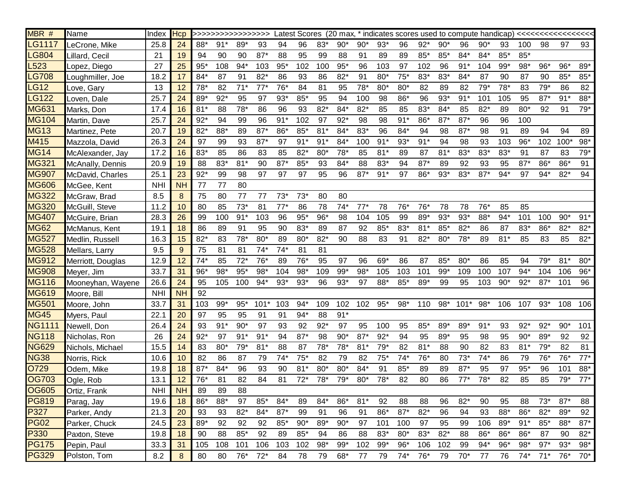| MBR #         | Name              | Index      | <b>Hcp</b> |       |       |       |            |       |       |       |       |         |       |       |       |         |        |       |       |            |       |        |       |
|---------------|-------------------|------------|------------|-------|-------|-------|------------|-------|-------|-------|-------|---------|-------|-------|-------|---------|--------|-------|-------|------------|-------|--------|-------|
| LG1117        | LeCrone, Mike     | 25.8       | 24         | 88*   | $91*$ | 89*   | 93         | 94    | 96    | $83*$ | $90*$ | $90*$   | $93*$ | 96    | $92*$ | $90*$   | 96     | $90*$ | 93    | 100        | 98    | 97     | 93    |
| LG804         | Lillard, Cecil    | 21         | 19         | 94    | 90    | 90    | $87*$      | 88    | 95    | 99    | 88    | 91      | 89    | 89    | $85*$ | $85*$   | 84*    | $84*$ | $85*$ | $85*$      |       |        |       |
| L523          | Lopez, Diego      | 27         | 25         | $95*$ | 108   | $94*$ | 103        | $95*$ | 102   | 100   | $95*$ | 96      | 103   | 97    | 102   | 96      | $91*$  | 104   | $99*$ | 98*        | $96*$ | $96*$  | 89*   |
| LG708         | Loughmiller, Joe  | 18.2       | 17         | $84*$ | 87    | 91    | $82*$      | 86    | 93    | 86    | $82*$ | 91      | $80*$ | $75*$ | 83*   | $83*$   | 84*    | 87    | 90    | 87         | 90    | $85*$  | $85*$ |
| LG12          | Love, Gary        | 13         | 12         | $78*$ | 82    | $71*$ | $77*$      | $76*$ | 84    | 81    | 95    | 78*     | $80*$ | $80*$ | 82    | 89      | 82     | 79*   | 78*   | 83         | $79*$ | 86     | 82    |
| LG122         | Loven, Dale       | 25.7       | 24         | 89*   | $92*$ | 95    | 97         | $93*$ | $85*$ | 95    | 94    | 100     | 98    | 86*   | 96    | $93*$   | $91*$  | 101   | 105   | 95         | $87*$ | $91*$  | 88*   |
| MG631         | Marks, Don        | 17.4       | 16         | $81*$ | 88    | $78*$ | 86         | 96    | 93    | $82*$ | $84*$ | $82*$   | 85    | 85    | $83*$ | 84*     | 85     | $82*$ | 89    | $80*$      | 92    | 91     | $79*$ |
| MG104         | Martin, Dave      | 25.7       | 24         | $92*$ | 94    | 99    | 96         | $91*$ | 102   | 97    | $92*$ | 98      | 98    | $91*$ | 86*   | $87*$   | $87*$  | 96    | 96    | 100        |       |        |       |
| <b>MG13</b>   | Martinez, Pete    | 20.7       | 19         | $82*$ | 88*   | 89    | $87*$      | 86*   | $85*$ | $81*$ | $84*$ | $83*$   | 96    | 84*   | 94    | 98      | $87*$  | 98    | 91    | 89         | 94    | 94     | 89    |
| M415          | Mazzola, David    | 26.3       | 24         | 97    | 99    | 93    | $87*$      | 97    | $91*$ | $91*$ | $84*$ | 100     | $91*$ | $93*$ | $91*$ | 94      | 98     | 93    | 103   | $96*$      | 102   | $100*$ | $98*$ |
| <b>MG14</b>   | McAlexander, Jay  | 17.2       | 16         | $83*$ | 85    | 86    | 83         | 85    | $82*$ | $80*$ | $78*$ | 85      | $81*$ | 89    | 87    | $81*$   | $83*$  | $83*$ | 83*   | 91         | 87    | 83     | $79*$ |
| MG321         | McAnally, Dennis  | 20.9       | 19         | 88    | $83*$ | $81*$ | 90         | $87*$ | $85*$ | 93    | 84*   | 88      | $83*$ | 94    | $87*$ | 89      | 92     | 93    | 95    | $87*$      | 86*   | 86*    | 91    |
| MG907         | McDavid, Charles  | 25.1       | 23         | $92*$ | 99    | 98    | 97         | 97    | 97    | 95    | 96    | $87*$   | $91*$ | 97    | 86*   | $93*$   | $83*$  | $87*$ | $94*$ | 97         | $94*$ | $82*$  | 94    |
| <b>MG606</b>  | McGee, Kent       | <b>NHI</b> | <b>NH</b>  | 77    | 77    | 80    |            |       |       |       |       |         |       |       |       |         |        |       |       |            |       |        |       |
| MG322         | McGraw, Brad      | 8.5        | 8          | 75    | 80    | 77    | 77         | $73*$ | $73*$ | 80    | 80    |         |       |       |       |         |        |       |       |            |       |        |       |
| MG320         | McGuill, Steve    | 11.2       | 10         | 80    | 85    | $73*$ | 81         | $77*$ | 86    | 78    | $74*$ | $77*$   | 78    | $76*$ | $76*$ | 78      | 78     | $76*$ | 85    | 85         |       |        |       |
| MG407         | McGuire, Brian    | 28.3       | 26         | 99    | 100   | $91*$ | 103        | 96    | $95*$ | $96*$ | 98    | 104     | 105   | 99    | 89*   | $93*$   | $93*$  | 88*   | $94*$ | 101        | 100   | $90*$  | $91*$ |
| <b>MG62</b>   | McManus, Kent     | 19.1       | 18         | 86    | 89    | 91    | 95         | 90    | $83*$ | 89    | 87    | 92      | $85*$ | 83*   | $81*$ | $85*$   | $82*$  | 86    | 87    | 83*        | 86*   | $82*$  | $82*$ |
| MG527         | Medlin, Russell   | 16.3       | 15         | $82*$ | 83    | $78*$ | $80*$      | 89    | $80*$ | $82*$ | 90    | 88      | 83    | 91    | $82*$ | $80*$   | $78*$  | 89    | $81*$ | 85         | 83    | 85     | $82*$ |
| MG528         | Mellars, Larry    | 9.5        | 9          | 75    | 81    | 81    | $74*$      | $74*$ | 81    | 81    |       |         |       |       |       |         |        |       |       |            |       |        |       |
| MG912         | Merriott, Douglas | 12.9       | 12         | $74*$ | 85    | $72*$ | $76*$      | 89    | $76*$ | 95    | 97    | 96      | 69*   | 86    | 87    | $85*$   | $80*$  | 86    | 85    | 94         | $79*$ | $81*$  | $80*$ |
| MG908         | Meyer, Jim        | 33.7       | 31         | 96*   | 98*   | $95*$ | $98*$      | 104   | $98*$ | 109   | 99*   | $98*$   | 105   | 103   | 101   | $99*$   | 109    | 100   | 107   | $94*$      | 104   | 106    | $96*$ |
| <b>MG116</b>  | Mooneyhan, Wayene | 26.6       | 24         | 95    | 105   | 100   | $94*$      | $93*$ | $93*$ | 96    | $93*$ | 97      | $88*$ | $85*$ | $89*$ | 99      | 95     | 103   | $90*$ | $92*$      | $87*$ | 101    | 96    |
| MG619         | Moore, Bill       | <b>NHI</b> | <b>NH</b>  | 92    |       |       |            |       |       |       |       |         |       |       |       |         |        |       |       |            |       |        |       |
| MG501         | Moore, John       | 33.7       | 31         | 103   | $99*$ | $95*$ | $101*$     | 103   | $94*$ | 109   | 102   | 102 95* |       | 98*   |       | 110 98* | $101*$ | $98*$ |       | 106 107    | $93*$ | 108    | 106   |
| <b>MG45</b>   | Myers, Paul       | 22.1       | 20         | 97    | 95    | 95    | 91         | 91    | $94*$ | 88    | $91*$ |         |       |       |       |         |        |       |       |            |       |        |       |
| <b>NG1111</b> | Newell, Don       | 26.4       | 24         | 93    | $91*$ | $90*$ | 97         | 93    | 92    | $92*$ | 97    | 95      | 100   | 95    | $85*$ | $89*$   | 89*    | $91*$ | 93    | $92*$      | $92*$ | $90*$  | 101   |
| <b>NG118</b>  | Nicholas, Ron     | 26         | 24         | $92*$ | 97    | $91*$ | $91*$      | 94    | $87*$ | 98    | $90*$ | $87*$   | $92*$ | 94    | 95    | 89*     | 95     | 98    | 95    | $90*$      | 89*   | 92     | 92    |
| <b>NG629</b>  | Nichols, Michael  | 15.5       | 14         | 83    | $80*$ | $79*$ | $81*$      | 88    | 87    | $78*$ | $78*$ | $81*$   | $79*$ | 82    | $81*$ | 88      | 90     | 82    | 83    | $81*$      | $79*$ | 82     | 81    |
| <b>NG38</b>   | Norris, Rick      | 10.6       | 10         | 82    | 86    | 87    | 79         | $74*$ | $75*$ | 82    | 79    | 82      | $75*$ | $74*$ | $76*$ | 80      | $73*$  | $74*$ | 86    | 79         | $76*$ | 76*    | $77*$ |
| O729          | Odem, Mike        | 19.8       | 18         | $87*$ | $84*$ | 96    | 93         | 90    | $81*$ | $80*$ | 80*   | $84*$   | 91    | $85*$ | 89    | 89      | $87*$  | 95    | 97    | $95*$      | 96    | 101    | 88*   |
| <b>OG703</b>  | Ogle, Rob         | 13.1       | 12         | $76*$ | 81    | 82    | 84         | 81    | $72*$ | $78*$ | $79*$ | $80*$   | 78*   | 82    | 80    | 86      | $77*$  | $78*$ | 82    | 85         | 85    | 79*    | $77*$ |
| <b>OG605</b>  | Ortiz, Frank      | <b>NHI</b> | <b>NH</b>  | 89    | 89    | 88    |            |       |       |       |       |         |       |       |       |         |        |       |       |            |       |        |       |
| <b>PG819</b>  | Parag, Jay        | 19.6       | 18         | $86*$ | 88*   | 97    | $85*$      | $84*$ | 89    | $84*$ | 86*   | $81*$   | 92    | 88    | 88    | 96      | $82*$  | 90    | 95    | 88         | $73*$ | $87*$  | 88    |
| P327          | Parker, Andy      | 21.3       | 20         | 93    | 93    | $82*$ | $84*$      | $87*$ | 99    | 91    | 96    | 91      | $86*$ | $87*$ | $82*$ | 96      | 94     | 93    | 88*   | 86*        | $82*$ | 89*    | 92    |
| <b>PG02</b>   | Parker, Chuck     | 24.5       | 23         | 89*   | 92    | 92    | 92         | $85*$ | $90*$ | 89*   | $90*$ | 97      | 101   | 100   | 97    | 95      | 99     | 106   | $89*$ | $91*$      | $85*$ | 88*    | $87*$ |
| P330          | Paxton, Steve     | 19.8       | 18         | 90    | 88    | $85*$ | 92         | 89    | $85*$ | 94    | 86    | 88      | $83*$ | $80*$ | $83*$ | $82*$   | 88     | $86*$ | $86*$ | $86*$      | 87    | 90     | $82*$ |
| <b>PG175</b>  | Pepin, Paul       | 33.3       | 31         | 105   | 108   | 101   | 106        | 103   | 102   | $98*$ | $99*$ | 102     | 99*   | $96*$ | 106   | 102     | 99     | $94*$ | $96*$ | $98*$      | $97*$ | $93*$  | $98*$ |
| <b>PG329</b>  | Polston, Tom      | 8.2        | 8          | 80    |       |       | 80 76* 72* | 84    | 78    | 79    | $68*$ | 77      | 79    | 74*   | 76*   | 79      | 70*    | 77    |       | 76 74* 71* |       | $76*$  | 70*   |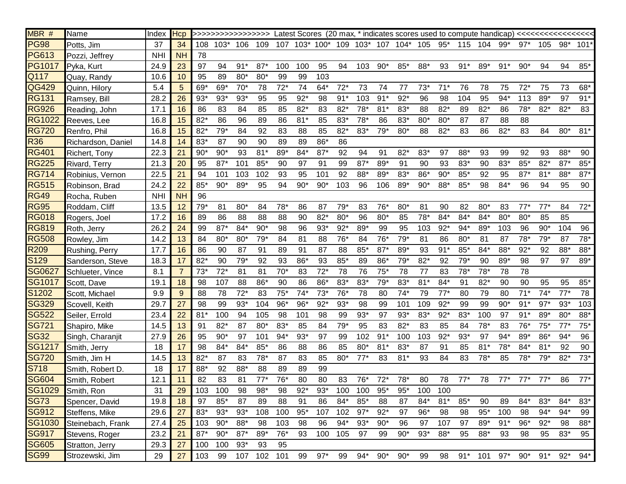| MBR #            | Name                 | Index      | Hcp       |       |                  |       |         |       |       |       |       |         |        |                                                 |       |       |       |       |       |       |       |              |          |
|------------------|----------------------|------------|-----------|-------|------------------|-------|---------|-------|-------|-------|-------|---------|--------|-------------------------------------------------|-------|-------|-------|-------|-------|-------|-------|--------------|----------|
| <b>PG98</b>      | Potts, Jim           | 37         | 34        |       | 108 103* 106 109 |       |         |       |       |       |       |         |        | 107 103* 100* 109 103* 107 104* 105 95* 115 104 |       |       |       |       | 99*   | $97*$ | 105   |              | 98* 101* |
| <b>PG613</b>     | Pozzi, Jeffrey       | <b>NHI</b> | <b>NH</b> | 78    |                  |       |         |       |       |       |       |         |        |                                                 |       |       |       |       |       |       |       |              |          |
| <b>PG1017</b>    | Pyka, Kurt           | 24.9       | 23        | 97    | 94               | $91*$ | $87*$   | 100   | 100   | 95    | 94    | 103 90* |        | $85*$                                           | 88*   | 93    | $91*$ | 89*   | $91*$ | $90*$ | 94    | 94           | $85*$    |
| Q117             | Quay, Randy          | 10.6       | 10        | 95    | 89               | $80*$ | $80*$   | 99    | 99    | 103   |       |         |        |                                                 |       |       |       |       |       |       |       |              |          |
| QG429            | Quinn, Hilory        | 5.4        | 5         | 69*   | 69*              | $70*$ | 78      | $72*$ | 74    | $64*$ | $72*$ | 73      | 74     | 77                                              | $73*$ | $71*$ | 76    | 78    | 75    | $72*$ | 75    | 73           | 68*      |
| <b>RG131</b>     | Ramsey, Bill         | 28.2       | 26        | $93*$ | $93*$            | $93*$ | 95      | 95    | $92*$ | 98    | $91*$ | 103     | $91*$  | $92*$                                           | 96    | 98    | 104   | 95    | $94*$ | 113   | 89*   | 97           | $91*$    |
| <b>RG926</b>     | Reading, John        | 17.1       | 16        | 86    | 83               | 84    | 85      | 85    | $82*$ | 83    | $82*$ | $78*$   | $81*$  | 83*                                             | 88    | $82*$ | 89    | $82*$ | 86    | $78*$ | $82*$ | $82*$        | 83       |
| RG1022           | Reeves, Lee          | 16.8       | 15        | $82*$ | 86               | 96    | 89      | 86    | $81*$ | 85    | 83*   | $78*$   | 86     | 83*                                             | $80*$ | $80*$ | 87    | 87    | 88    | 88    |       |              |          |
| <b>RG720</b>     | Renfro, Phil         | 16.8       | 15        | $82*$ | $79*$            | 84    | 92      | 83    | 88    | 85    | $82*$ | $83*$   | $79*$  | $80*$                                           | 88    | $82*$ | 83    | 86    | $82*$ | 83    | 84    | $80*$        | $81*$    |
| R36              | Richardson, Daniel   | 14.8       | 14        | $83*$ | 87               | 90    | 90      | 89    | 89    | 86*   | 86    |         |        |                                                 |       |       |       |       |       |       |       |              |          |
| <b>RG401</b>     | <b>Richert, Tony</b> | 22.3       | 21        | $90*$ | $90*$            | 93    | $81*$   | 89*   | $84*$ | $87*$ | 92    | 94      | 91     | $82*$                                           | $83*$ | 97    | 88*   | 93    | 99    | 92    | 93    | 88*          | 90       |
| <b>RG225</b>     | Rivard, Terry        | 21.3       | 20        | 95    | $87*$            | 101   | $85*$   | 90    | 97    | 91    | 99    | $87*$   | 89*    | 91                                              | 90    | 93    | 83*   | 90    | 83*   | $85*$ | $82*$ | $87*$        | $85*$    |
| <b>RG714</b>     | Robinius, Vernon     | 22.5       | 21        | 94    | 101              | 103   | 102     | 93    | 95    | 101   | 92    | 88*     | $89*$  | $83*$                                           | 86*   | $90*$ | $85*$ | 92    | 95    | $87*$ | $81*$ | 88*          | $87*$    |
| <b>RG515</b>     | Robinson, Brad       | 24.2       | 22        | $85*$ | $90*$            | 89*   | 95      | 94    | $90*$ | $90*$ | 103   | 96      | 106    | 89*                                             | $90*$ | 88*   | 85*   | 98    | $84*$ | 96    | 94    | 95           | 90       |
| RG49             | Rocha, Ruben         | <b>NHI</b> | <b>NH</b> | 96    |                  |       |         |       |       |       |       |         |        |                                                 |       |       |       |       |       |       |       |              |          |
| <b>RG95</b>      | Roddam, Cliff        | 13.5       | 12        | $79*$ | 81               | $80*$ | 84      | 78*   | 86    | 87    | $79*$ | 83      | 76*    | $80*$                                           | 81    | 90    | 82    | $80*$ | 83    | $77*$ | $77*$ | 84           | $72*$    |
| <b>RG018</b>     | Rogers, Joel         | 17.2       | 16        | 89    | 86               | 88    | 88      | 88    | 90    | $82*$ | $80*$ | 96      | $80*$  | 85                                              | $78*$ | 84*   | 84*   | $84*$ | $80*$ | $80*$ | 85    | 85           |          |
| <b>RG819</b>     | Roth, Jerry          | 26.2       | 24        | 99    | $87*$            | $84*$ | $90*$   | 98    | 96    | $93*$ | $92*$ | 89*     | 99     | 95                                              | 103   | $92*$ | $94*$ | $89*$ | 103   | 96    | $90*$ | 104          | 96       |
| <b>RG508</b>     | Rowley, Jim          | 14.2       | 13        | 84    | $80*$            | $80*$ | $79*$   | 84    | 81    | 88    | $76*$ | 84      | 76*    | 79*                                             | 81    | 86    | $80*$ | 81    | 87    | $78*$ | $79*$ | 87           | $78*$    |
| R <sub>209</sub> | Rushing, Perry       | 17.7       | 16        | 86    | 90               | 87    | 91      | 89    | 91    | 87    | 88    | $85*$   | $87*$  | 89*                                             | 93    | $91*$ | $85*$ | $84*$ | 88*   | $92*$ | 92    | 88*          | 88*      |
| S129             | Sanderson, Steve     | 18.3       | 17        | $82*$ | 90               | $79*$ | 92      | 93    | 86*   | 93    | $85*$ | 89      | 86*    | 79*                                             | $82*$ | 92    | $79*$ | 90    | 89*   | 98    | 97    | 97           | 89*      |
| SG0627           | Schlueter, Vince     | 8.1        |           | $73*$ | $72*$            | 81    | 81      | $70*$ | 83    | $72*$ | 78    | 76      | $75*$  | 78                                              | 77    | 83    | $78*$ | $78*$ | 78    | 78    |       |              |          |
| SG1017           | Scott, Dave          | 19.1       | 18        | 98    | 107              | 88    | 86*     | 90    | 86    | 86*   | $83*$ | 83*     | $79*$  | 83*                                             | $81*$ | 84*   | 91    | $82*$ | 90    | 90    | 95    | 95           | $85*$    |
| S1202            | Scott, Michael       | 9.9        | 9         | 88    | 78               | $72*$ | 83      | $75*$ | $74*$ | $73*$ | $76*$ | 78      | 80     | $74*$                                           | 79    | $77*$ | 80    | 79    | 80    | $71*$ | $74*$ | $77*$        | 78       |
| <b>SG329</b>     | Scovell, Keith       | 29.7       | 27        | 98    | 99               | $93*$ | 104     | $96*$ | $96*$ | $92*$ | $93*$ | 98      | 99     | 101                                             | 109   | $92*$ | 99    | 99    | $90*$ | $91*$ | $97*$ | $93*$        | 103      |
| <b>SG522</b>     | Seiler, Errold       | 23.4       | 22        | $81*$ | 100              | 94    | 105     | 98    | 101   | 98    | 99    | $93*$   | 97     | $93*$                                           | $83*$ | $92*$ | 83*   | 100   | 97    | $91*$ | 89*   | $80*$        | 88*      |
| SG721            | Shapiro, Mike        | 14.5       | 13        | 91    | $82*$            | 87    | $80*$   | $83*$ | 85    | 84    | $79*$ | 95      | 83     | $82*$                                           | 83    | 85    | 84    | $78*$ | 83    | $76*$ | $75*$ | $77^{\circ}$ | $75*$    |
| <b>SG32</b>      | Singh, Charanjit     | 27.9       | 26        | 95    | $90*$            | 97    | 101     | $94*$ | $93*$ | 97    | 99    | 102     | $91*$  | 100                                             | 103   | $92*$ | $93*$ | 97    | 94*   | 89*   | 86*   | $94*$        | 96       |
| SG1217           | Smith, Jerry         | 18         | 17        | 98    | $84*$            | 84*   | $85*$   | 86    | 88    | 86    | 85    | $80*$   | $81*$  | $83*$                                           | 87    | 91    | 85    | $81*$ | 78*   | 84*   | $81*$ | 92           | 90       |
| <b>SG720</b>     | Smith, Jim H         | 14.5       | 13        | $82*$ | 87               | 83    | $78*$   | 87    | 83    | 85    | 80*   | $77*$   | 83     | $81*$                                           | 93    | 84    | 83    | $78*$ | 85    | 78*   | $79*$ | $82*$        | $73*$    |
| S718             | Smith, Robert D.     | 18         | 17        | 88*   | 92               | 88*   | 88      | 89    | 89    | 99    |       |         |        |                                                 |       |       |       |       |       |       |       |              |          |
| <b>SG604</b>     | Smith, Robert        | 12.1       | 11        | 82    | 83               | 81    | $77*$   | $76*$ | 80    | 80    | 83    | $76*$   | $72^*$ | $78*$                                           | 80    | 78    | $77*$ | 78    | $77*$ | $77*$ | $77*$ | 86           | $77*$    |
| SG1029           | Smith, Ron           | 31         | 29        | 103   | 100              | 98    | $98*$   | 98    | $92*$ | $93*$ | 100   | 100     | $95*$  | $95*$                                           | 100   | 100   |       |       |       |       |       |              |          |
| <b>SG73</b>      | Spencer, David       | 19.8       | 18        | 97    | $85*$            | 87    | 89      | 88    | 91    | 86    | $84*$ | 85'     | 88     | 87                                              | 84*   | $81*$ | $85*$ | 90    | 89    | $84*$ | $83*$ | $84*$        | $83*$    |
| <b>SG912</b>     | Steffens, Mike       | 29.6       | 27        | 83*   | $93*$            | $93*$ | 108     | 100   | $95*$ | 107   | 102   | $97*$   | $92*$  | 97                                              | $96*$ | 98    | 98    | $95*$ | 100   | 98    | $94*$ | $94*$        | 99       |
| SG1030           | Steinebach, Frank    | 27.4       | 25        | 103   | $90*$            | $88*$ | 98      | 103   | 98    | 96    | $94*$ | $93*$   | $90*$  | 96                                              | 97    | 107   | 97    | 89*   | $91*$ | $96*$ | $92*$ | 98           | $88*$    |
| <b>SG917</b>     | Stevens, Roger       | 23.2       | 21        | $87*$ | $90*$            | $87*$ | 89*     | 76*   | 93    | 100   | 105   | 97      | 99     | $90*$                                           | $93*$ | $88*$ | 95    | 88*   | 93    | 98    | 95    | $83*$        | 95       |
| <b>SG605</b>     | Stratton, Jerry      | 29.3       | 27        | 100   | 100              | $93*$ | 93      | 95    |       |       |       |         |        |                                                 |       |       |       |       |       |       |       |              |          |
| <b>SG99</b>      | Strozewski, Jim      | 29         | 27        | 103   | 99               |       | 107 102 | 101   | 99    | $97*$ | 99    | $94*$   | $90*$  | $90*$                                           | 99    | 98    | $91*$ | 101   | $97*$ | $90*$ | $91*$ | $92*$        | $94*$    |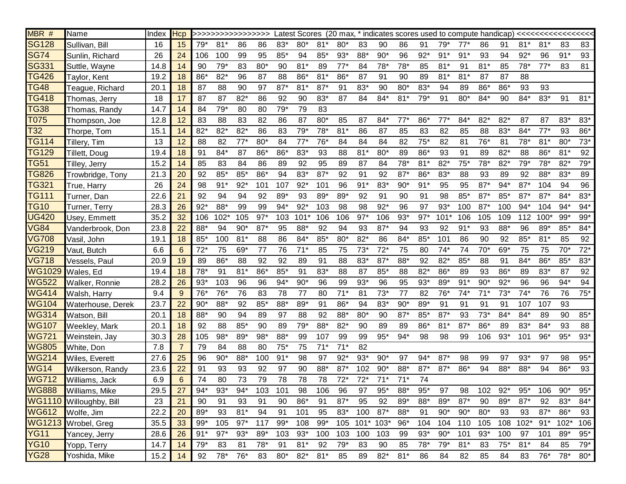| MBR #                        | Name                    | Index | <b>Hcp</b>     |       | >>>>>>>>>>>>>>>>>> |       |       |       |       |       |       |       |           |       |       |         |       |       |       |          |        |        |       |
|------------------------------|-------------------------|-------|----------------|-------|--------------------|-------|-------|-------|-------|-------|-------|-------|-----------|-------|-------|---------|-------|-------|-------|----------|--------|--------|-------|
| <b>SG128</b>                 | Sullivan, Bill          | 16    | 15             | $79*$ | $81*$              | 86    | 86    | 83*   | $80*$ | $81*$ | $80*$ | 83    | 90        | 86    | 91    | $79*$   | $77*$ | 86    | 91    | $81*$    | $81*$  | 83     | 83    |
| SG74                         | Sunlin, Richard         | 26    | 24             | 106   | 100                | 99    | 95    | $85*$ | 94    | 85*   | $93*$ | 88*   | $90*$     | 96    | $92*$ | $91*$   | $91*$ | 93    | 94    | $92*$    | 96     | $91*$  | 93    |
| SG331                        | Suttle, Wayne           | 14.8  | 14             | 90    | $79*$              | 83    | $80*$ | 90    | $81*$ | 89    | $77*$ | 84    | $78*$     | 78*   | 85    | $81*$   | 91    | $81*$ | 85    | $78*$    | $77*$  | 83     | 81    |
| <b>TG426</b>                 | Taylor, Kent            | 19.2  | 18             | 86*   | $82*$              | 96    | 87    | 88    | 86*   | $81*$ | 86*   | 87    | 91        | 90    | 89    | $81*$   | $81*$ | 87    | 87    | 88       |        |        |       |
| <b>TG48</b>                  | Teague, Richard         | 20.1  | 18             | 87    | 88                 | 90    | 97    | $87*$ | $81*$ | $87*$ | 91    | $83*$ | 90        | $80*$ | $83*$ | 94      | 89    | $86*$ | 86*   | 93       | 93     |        |       |
| TG418                        | Thomas, Jerry           | 18    | 17             | 87    | 87                 | $82*$ | 86    | 92    | 90    | 83*   | 87    | 84    | $84*$     | $81*$ | $79*$ | 91      | $80*$ | $84*$ | 90    | $84*$    | 83*    | 91     | $81*$ |
| <b>TG38</b>                  | Thomas, Randy           | 14.7  | 14             | 84    | $79*$              | 80    | 80    | $79*$ | 79    | 83    |       |       |           |       |       |         |       |       |       |          |        |        |       |
| T075                         | Thompson, Joe           | 12.8  | 12             | 83    | 88                 | 83    | 82    | 86    | 87    | $80*$ | 85    | 87    | $84*$     | $77*$ | $86*$ | $77*$   | $84*$ | $82*$ | $82*$ | 87       | 87     | 83*    | 83*   |
| T32                          | Thorpe, Tom             | 15.1  | 14             | $82*$ | $82*$              | $82*$ | 86    | 83    | $79*$ | $78*$ | $81*$ | 86    | 87        | 85    | 83    | 82      | 85    | 88    | 83*   | $84*$    | $77*$  | 93     | 86*   |
| <b>TG114</b>                 | Tillery, Tim            | 13    | 12             | 88    | 82                 | $77*$ | $80*$ | 84    | $77*$ | $76*$ | 84    | 84    | 84        | 82    | 75'   | 82      | 81    | 76*   | 81    | $78*$    | $81*$  | $80*$  | $73*$ |
| TG129                        | Tillett, Doug           | 19.4  | 18             | 91    | 84*                | 87    | 86*   | 86*   | $83*$ | 93    | 88    | $81*$ | $80*$     | 89    | 86*   | 93      | 91    | 89    | $82*$ | 88       | 86*    | $81*$  | 92    |
| <b>TG51</b>                  | Tilley, Jerry           | 15.2  | 14             | 85    | 83                 | 84    | 86    | 89    | 92    | 95    | 89    | 87    | 84        | 78*   | $81*$ | $82*$   | $75*$ | $78*$ | $82*$ | $79*$    | $78*$  | $82*$  | $79*$ |
| <b>TG826</b>                 | Trowbridge, Tony        | 21.3  | 20             | 92    | $85*$              | $85*$ | 86*   | 94    | 83*   | $87*$ | 92    | 91    | 92        | $87*$ | 86*   | $83*$   | 88    | 93    | 89    | 92       | 88*    | $83*$  | 89    |
| TG321                        | True, Harry             | 26    | 24             | 98    | $91*$              | $92*$ | 101   | 107   | $92*$ | 101   | 96    | $91*$ | $83*$     | $90*$ | $91*$ | 95      | 95    | $87*$ | $94*$ | $87*$    | 104    | 94     | 96    |
| TG111                        | Turner, Dan             | 22.6  | 21             | 92    | 94                 | 94    | 92    | 89*   | 93    | 89*   | 89*   | 92    | 91        | 90    | 91    | 98      | $85*$ | $87*$ | 85*   | $87*$    | $87*$  | $84*$  | $83*$ |
| <b>TG10</b>                  | Turner, Terry           | 28.3  | 26             | $92*$ | 88*                | 99    | 99    | $94*$ | $92*$ | 103   | 98    | 98    | $92*$     | 96    | 97    | $93*$   | 100   | $87*$ | 100   | $94*$    | 104    | $94*$  | $94*$ |
| <b>UG420</b>                 | Usey, Emmett            | 35.2  | 32             | 106   | 102'               | 105   | $97*$ | 103   | 101   | 106   | 106   | $97*$ | 106       | $93*$ | $97*$ | $101*$  | 106   | 105   | 109   | 112      | $100*$ | $99*$  | $99*$ |
| <b>VG84</b>                  | Vanderbrook, Don        | 23.8  | 22             | 88*   | 94                 | $90*$ | $87*$ | 95    | 88*   | 92    | 94    | 93    | $87*$     | 94    | 93    | 92      | $91*$ | 93    | 88*   | 96       | 89*    | $85*$  | 84*   |
| <b>VG708</b>                 | Vasil, John             | 19.1  | 18             | 85*   | 100                | $81*$ | 88    | 86    | $84*$ | 85*   | 80*   | $82*$ | 86        | 84*   | 85'   | 101     | 86    | 90    | 92    | $85*$    | $81*$  | 85     | 92    |
| VG219                        | Vaut, Butch             | 6.6   | 6              | $72*$ | 75                 | 69*   | 77    | 76    | $71*$ | 85    | 75    | $73*$ | $72*$     | 75    | 80    | $74*$   | 74    | $70*$ | 69*   | 75       | 75     | $70*$  | $72*$ |
| <b>VG718</b>                 | Vessels, Paul           | 20.9  | 19             | 89    | 86*                | 88    | 92    | 92    | 89    | 91    | 88    | $83*$ | $87*$     | 88*   | 92    | $82*$   | $85*$ | 88    | 91    | $84*$    | $86*$  | 85*    | $83*$ |
| WG1029                       | Wales, Ed               | 19.4  | 18             | $78*$ | 91                 | $81*$ | 86*   | $85*$ | 91    | 83*   | 88    | 87    | $85*$     | 88    | $82*$ | 86*     | 89    | 93    | 86*   | 89       | $83*$  | 87     | 92    |
| $\overline{\textsf{W}}$ G522 | Walker, Ronnie          | 28.2  | 26             | $93*$ | 103                | 96    | 96    | $94*$ | $90*$ | 96    | 99    | $93*$ | 96        | 95    | $93*$ | 89*     | $91*$ | $90*$ | $92*$ | 96       | 96     | $94*$  | 94    |
| <b>WG414</b>                 | Walsh, Harry            | 9.4   | 9              | $76*$ | 76*                | 76    | 83    | 78    | 77    | 80    | $71*$ | 81    | $73*$     | 77    | 82    | $76*$   | $74*$ | $71*$ | $73*$ | $74*$    | 76     | 76     | $75*$ |
| <b>WG104</b>                 | Waterhouse, Derek       | 23.7  | 22             | $90*$ | 88*                | 92    | $85*$ | 88*   | 89*   | 91    | 86*   | 94    | 83*       | $90*$ | 89*   | 91      | 91    | 91    | 91    | 107      | 107    | 93     |       |
| WG314                        | Watson, Bill            | 20.1  | 18             | 88*   | 90                 | 94    | 89    | 97    | 88    | 92    | 88*   | $80*$ | 90        | $87*$ | $85*$ | $87*$   | 93    | $73*$ | $84*$ | $84*$    | 89     | 90     | $85*$ |
| <b>WG107</b>                 | Weekley, Mark           | 20.1  | 18             | 92    | 88                 | $85*$ | 90    | 89    | $79*$ | 88*   | $82*$ | 90    | 89        | 89    | 86*   | $81*$   | $87*$ | 86*   | 89    | 83*      | $84*$  | 93     | 88    |
| <b>WG721</b>                 | Weinstein, Jay          | 30.3  | 28             | 105   | $98*$              | 89*   | $98*$ | 88*   | 99    | 107   | 99    | 99    | $95*$     | $94*$ | 98    | 98      | 99    | 106   | $93*$ | 101      | 96*    | $95*$  | $93*$ |
| <b>WG805</b>                 | White, Don              | 7.8   | $\overline{7}$ | 79    | 84                 | 88    | 80    | $75*$ | 75    | $71*$ | $71*$ | 82    |           |       |       |         |       |       |       |          |        |        |       |
| <b>WG214</b>                 | Wiles, Everett          | 27.6  | 25             | 96    | $90*$              | 88*   | 100   | $91*$ | 98    | 97    | $92*$ | $93*$ | $90*$     | 97    | $94*$ | $87*$   | 98    | 99    | 97    | $93*$    | 97     | 98     | $95*$ |
| <b>WG14</b>                  | Wilkerson, Randy        | 23.6  | 22             | 91    | 93                 | 93    | 92    | 97    | 90    | 88*   | $87*$ | 102   | $90*$     | 88*   | $87*$ | $87*$   | 86*   | 94    | 88*   | 88*      | 94     | 86*    | 93    |
| <b>WG712</b>                 | Williams, Jack          | 6.9   | 6              | 74    | 80                 | 73    | 79    | 78    | 78    | 78    | $72*$ | $72*$ | $71*$     | $71*$ | 74    |         |       |       |       |          |        |        |       |
| <b>WG888</b>                 | <b>Williams, Mike</b>   | 29.5  | 27             | $94*$ | $93*$              | $94*$ | 103   | 101   | 98    | 106   | 96    | 97    | $95*$     | 88*   | $95*$ | 97      | 98    | 102   | $92*$ | $95*$    | 106    | $90*$  | $95*$ |
|                              | WG1110 Willoughby, Bill | 23    | 21             | 90    | 91                 | 93    | 91    | 90    | 86*   | 91    | $87*$ | 95    | 92        | 89*   | 88*   | $89*$   | $87*$ | 90    | 89*   | $87*$    | 92     | $83*$  | $84*$ |
| WG612                        | Wolfe, Jim              | 22.2  | 20             | 89*   | 93                 | $81*$ | 94    | 91    | 101   | 95    | $83*$ | 100   | $87*$     | 88*   | 91    | $90*$   | $90*$ | $80*$ | 93    | 93       | $87*$  | $86*$  | 93    |
| WG1213                       | Wrobel, Greg            | 35.5  | 33             | $99*$ | 105                | $97*$ | 117   | $99*$ | 108   | $99*$ | 105   |       | 101* 103* | $96*$ | 104   | 104 110 |       | 105   |       | 108 102* | $91*$  | $102*$ | 106   |
| <b>YG11</b>                  | Yancey, Jerry           | 28.6  | 26             | $91*$ | $97*$              | $93*$ | $89*$ | 103   | $93*$ | 100   | 103   | 100   | 103       | 99    | $93*$ | $90*$   | 101   | $93*$ | 100   | 97       | 101    | 89*    | $95*$ |
| <b>YG10</b>                  | Yopp, Terry             | 14.7  | 14             | $79*$ | 83                 | 81    | $78*$ | 91    | $81*$ | 92    | $79*$ | 83    | 90        | 85    | $78*$ | $79*$   | $81*$ | 83    | $75*$ | $81*$    | 84     | 85     | $79*$ |
| <b>YG28</b>                  | Yoshida, Mike           | 15.2  | 14             | 92    | $78*$              | 76*   | 83    | $80*$ | $82*$ | $81*$ | 85    | 89    | $82*$     | $81*$ | 86    | 84      | 82    | 85    | 84    | 83       | 76*    | 78*    | $80*$ |